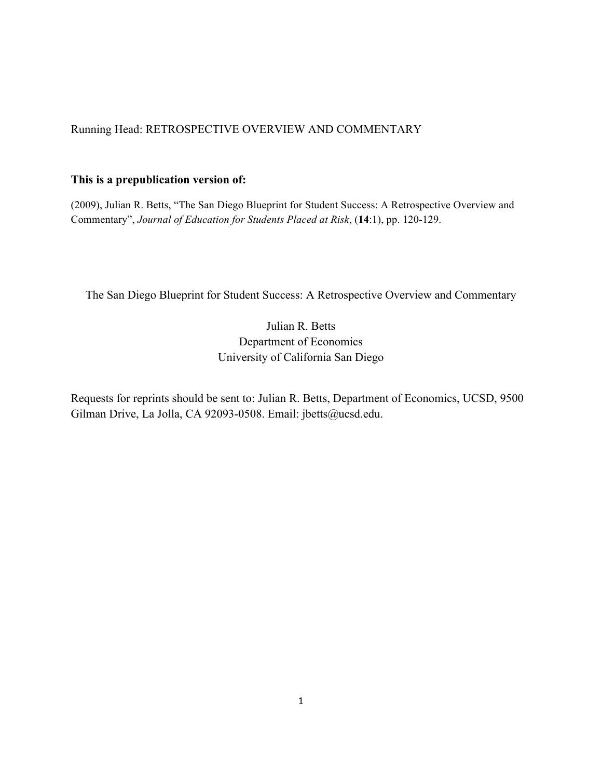Running Head: RETROSPECTIVE OVERVIEW AND COMMENTARY

## **This is a prepublication version of:**

(2009), Julian R. Betts, "The San Diego Blueprint for Student Success: A Retrospective Overview and Commentary", *Journal of Education for Students Placed at Risk*, (**14**:1), pp. 120-129.

The San Diego Blueprint for Student Success: A Retrospective Overview and Commentary

Julian R. Betts Department of Economics University of California San Diego

Requests for reprints should be sent to: Julian R. Betts, Department of Economics, UCSD, 9500 Gilman Drive, La Jolla, CA 92093-0508. Email: jbetts@ucsd.edu.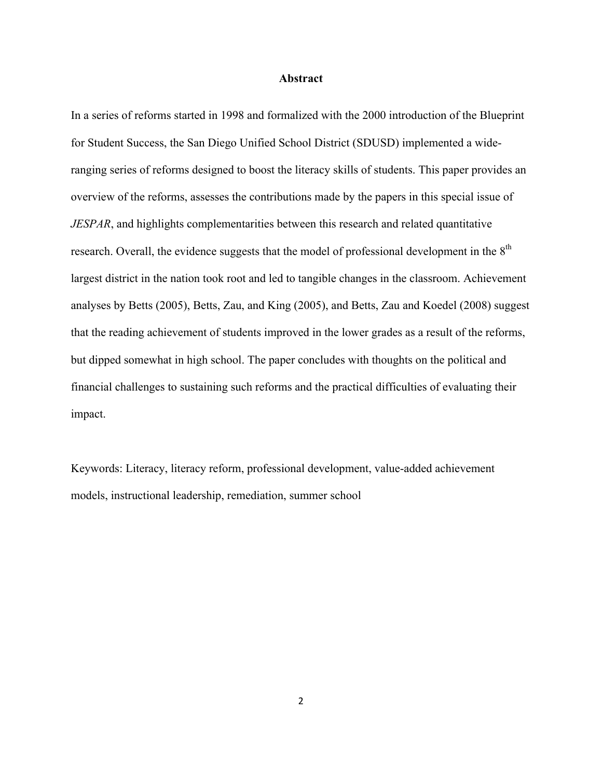### **Abstract**

In a series of reforms started in 1998 and formalized with the 2000 introduction of the Blueprint for Student Success, the San Diego Unified School District (SDUSD) implemented a wideranging series of reforms designed to boost the literacy skills of students. This paper provides an overview of the reforms, assesses the contributions made by the papers in this special issue of *JESPAR*, and highlights complementarities between this research and related quantitative research. Overall, the evidence suggests that the model of professional development in the 8<sup>th</sup> largest district in the nation took root and led to tangible changes in the classroom. Achievement analyses by Betts (2005), Betts, Zau, and King (2005), and Betts, Zau and Koedel (2008) suggest that the reading achievement of students improved in the lower grades as a result of the reforms, but dipped somewhat in high school. The paper concludes with thoughts on the political and financial challenges to sustaining such reforms and the practical difficulties of evaluating their impact.

Keywords: Literacy, literacy reform, professional development, value-added achievement models, instructional leadership, remediation, summer school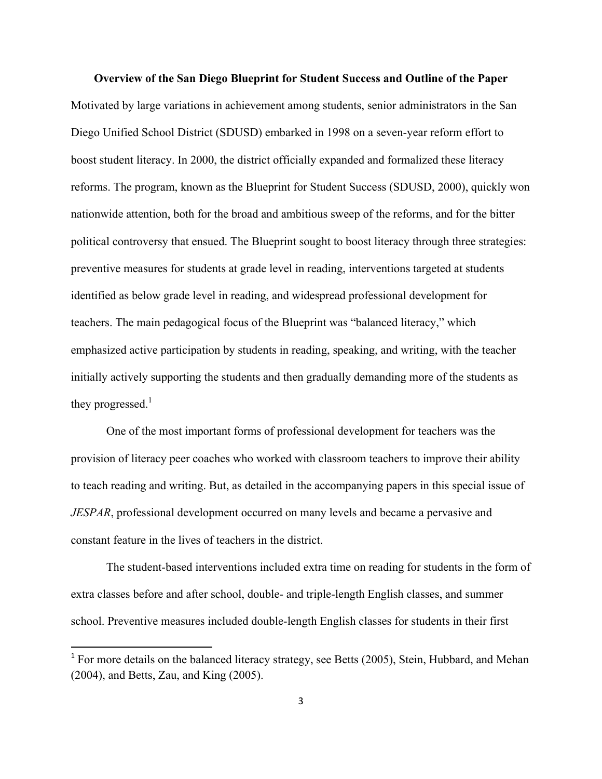**Overview of the San Diego Blueprint for Student Success and Outline of the Paper** Motivated by large variations in achievement among students, senior administrators in the San Diego Unified School District (SDUSD) embarked in 1998 on a seven-year reform effort to boost student literacy. In 2000, the district officially expanded and formalized these literacy reforms. The program, known as the Blueprint for Student Success (SDUSD, 2000), quickly won nationwide attention, both for the broad and ambitious sweep of the reforms, and for the bitter political controversy that ensued. The Blueprint sought to boost literacy through three strategies: preventive measures for students at grade level in reading, interventions targeted at students identified as below grade level in reading, and widespread professional development for teachers. The main pedagogical focus of the Blueprint was "balanced literacy," which emphasized active participation by students in reading, speaking, and writing, with the teacher initially actively supporting the students and then gradually demanding more of the students as they progressed.<sup>1</sup>

One of the most important forms of professional development for teachers was the provision of literacy peer coaches who worked with classroom teachers to improve their ability to teach reading and writing. But, as detailed in the accompanying papers in this special issue of *JESPAR*, professional development occurred on many levels and became a pervasive and constant feature in the lives of teachers in the district.

The student-based interventions included extra time on reading for students in the form of extra classes before and after school, double- and triple-length English classes, and summer school. Preventive measures included double-length English classes for students in their first

<u> 1989 - Johann Stein, markin film yn y breninn y breninn y breninn y breninn y breninn y breninn y breninn y b</u>

<sup>&</sup>lt;sup>1</sup> For more details on the balanced literacy strategy, see Betts (2005), Stein, Hubbard, and Mehan (2004), and Betts, Zau, and King (2005).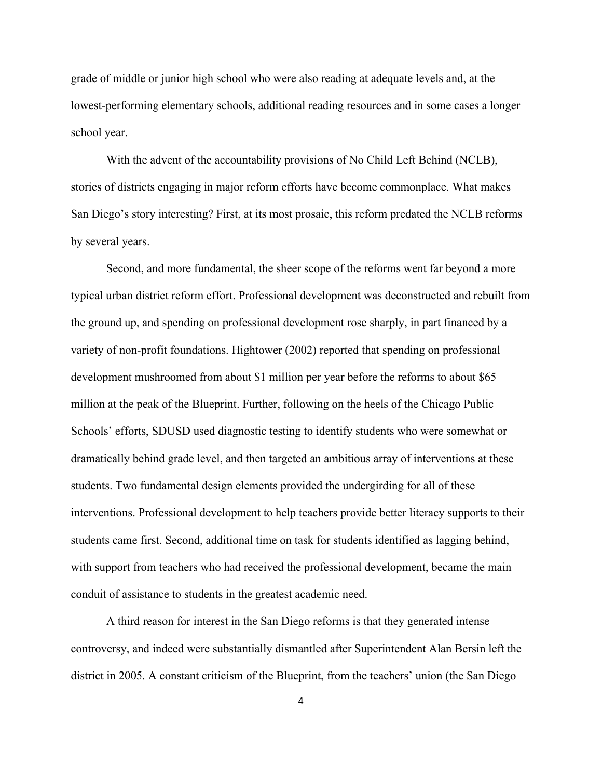grade of middle or junior high school who were also reading at adequate levels and, at the lowest-performing elementary schools, additional reading resources and in some cases a longer school year.

With the advent of the accountability provisions of No Child Left Behind (NCLB), stories of districts engaging in major reform efforts have become commonplace. What makes San Diego's story interesting? First, at its most prosaic, this reform predated the NCLB reforms by several years.

Second, and more fundamental, the sheer scope of the reforms went far beyond a more typical urban district reform effort. Professional development was deconstructed and rebuilt from the ground up, and spending on professional development rose sharply, in part financed by a variety of non-profit foundations. Hightower (2002) reported that spending on professional development mushroomed from about \$1 million per year before the reforms to about \$65 million at the peak of the Blueprint. Further, following on the heels of the Chicago Public Schools' efforts, SDUSD used diagnostic testing to identify students who were somewhat or dramatically behind grade level, and then targeted an ambitious array of interventions at these students. Two fundamental design elements provided the undergirding for all of these interventions. Professional development to help teachers provide better literacy supports to their students came first. Second, additional time on task for students identified as lagging behind, with support from teachers who had received the professional development, became the main conduit of assistance to students in the greatest academic need.

A third reason for interest in the San Diego reforms is that they generated intense controversy, and indeed were substantially dismantled after Superintendent Alan Bersin left the district in 2005. A constant criticism of the Blueprint, from the teachers' union (the San Diego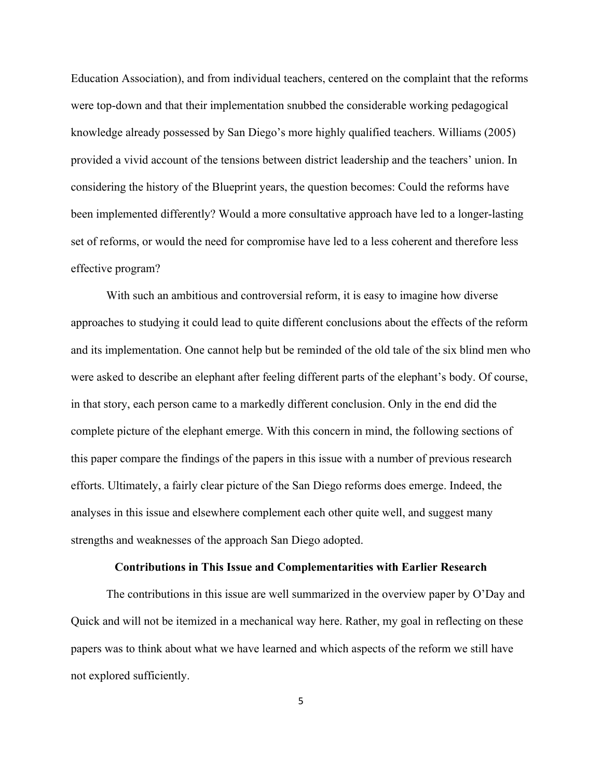Education Association), and from individual teachers, centered on the complaint that the reforms were top-down and that their implementation snubbed the considerable working pedagogical knowledge already possessed by San Diego's more highly qualified teachers. Williams (2005) provided a vivid account of the tensions between district leadership and the teachers' union. In considering the history of the Blueprint years, the question becomes: Could the reforms have been implemented differently? Would a more consultative approach have led to a longer-lasting set of reforms, or would the need for compromise have led to a less coherent and therefore less effective program?

With such an ambitious and controversial reform, it is easy to imagine how diverse approaches to studying it could lead to quite different conclusions about the effects of the reform and its implementation. One cannot help but be reminded of the old tale of the six blind men who were asked to describe an elephant after feeling different parts of the elephant's body. Of course, in that story, each person came to a markedly different conclusion. Only in the end did the complete picture of the elephant emerge. With this concern in mind, the following sections of this paper compare the findings of the papers in this issue with a number of previous research efforts. Ultimately, a fairly clear picture of the San Diego reforms does emerge. Indeed, the analyses in this issue and elsewhere complement each other quite well, and suggest many strengths and weaknesses of the approach San Diego adopted.

### **Contributions in This Issue and Complementarities with Earlier Research**

The contributions in this issue are well summarized in the overview paper by O'Day and Quick and will not be itemized in a mechanical way here. Rather, my goal in reflecting on these papers was to think about what we have learned and which aspects of the reform we still have not explored sufficiently.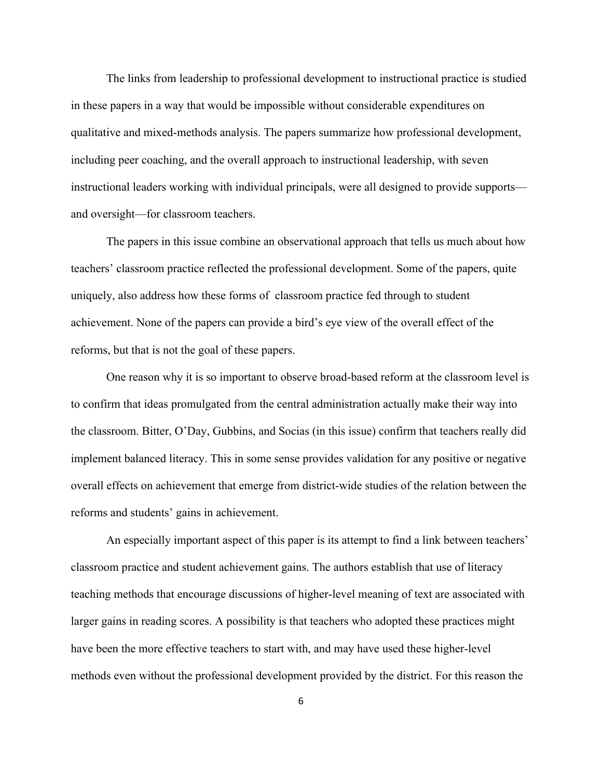The links from leadership to professional development to instructional practice is studied in these papers in a way that would be impossible without considerable expenditures on qualitative and mixed-methods analysis. The papers summarize how professional development, including peer coaching, and the overall approach to instructional leadership, with seven instructional leaders working with individual principals, were all designed to provide supports and oversight—for classroom teachers.

The papers in this issue combine an observational approach that tells us much about how teachers' classroom practice reflected the professional development. Some of the papers, quite uniquely, also address how these forms of classroom practice fed through to student achievement. None of the papers can provide a bird's eye view of the overall effect of the reforms, but that is not the goal of these papers.

One reason why it is so important to observe broad-based reform at the classroom level is to confirm that ideas promulgated from the central administration actually make their way into the classroom. Bitter, O'Day, Gubbins, and Socias (in this issue) confirm that teachers really did implement balanced literacy. This in some sense provides validation for any positive or negative overall effects on achievement that emerge from district-wide studies of the relation between the reforms and students' gains in achievement.

An especially important aspect of this paper is its attempt to find a link between teachers' classroom practice and student achievement gains. The authors establish that use of literacy teaching methods that encourage discussions of higher-level meaning of text are associated with larger gains in reading scores. A possibility is that teachers who adopted these practices might have been the more effective teachers to start with, and may have used these higher-level methods even without the professional development provided by the district. For this reason the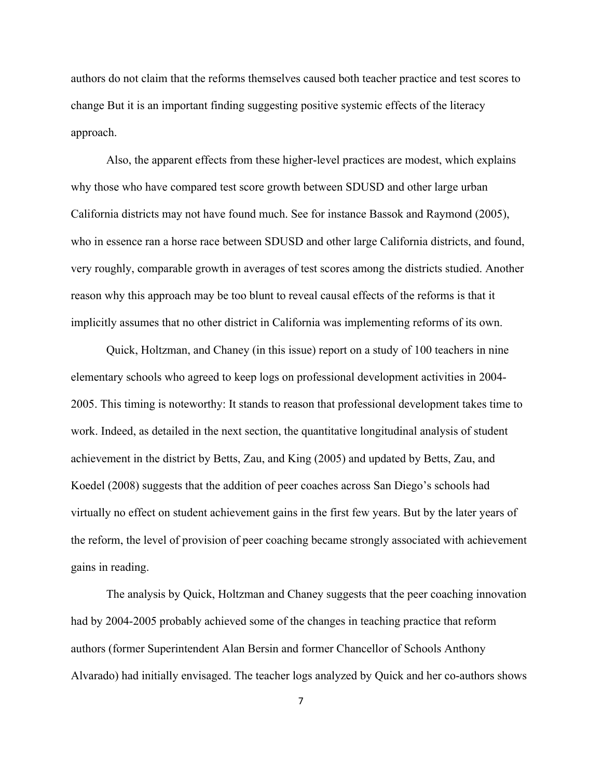authors do not claim that the reforms themselves caused both teacher practice and test scores to change But it is an important finding suggesting positive systemic effects of the literacy approach.

Also, the apparent effects from these higher-level practices are modest, which explains why those who have compared test score growth between SDUSD and other large urban California districts may not have found much. See for instance Bassok and Raymond (2005), who in essence ran a horse race between SDUSD and other large California districts, and found, very roughly, comparable growth in averages of test scores among the districts studied. Another reason why this approach may be too blunt to reveal causal effects of the reforms is that it implicitly assumes that no other district in California was implementing reforms of its own.

Quick, Holtzman, and Chaney (in this issue) report on a study of 100 teachers in nine elementary schools who agreed to keep logs on professional development activities in 2004- 2005. This timing is noteworthy: It stands to reason that professional development takes time to work. Indeed, as detailed in the next section, the quantitative longitudinal analysis of student achievement in the district by Betts, Zau, and King (2005) and updated by Betts, Zau, and Koedel (2008) suggests that the addition of peer coaches across San Diego's schools had virtually no effect on student achievement gains in the first few years. But by the later years of the reform, the level of provision of peer coaching became strongly associated with achievement gains in reading.

The analysis by Quick, Holtzman and Chaney suggests that the peer coaching innovation had by 2004-2005 probably achieved some of the changes in teaching practice that reform authors (former Superintendent Alan Bersin and former Chancellor of Schools Anthony Alvarado) had initially envisaged. The teacher logs analyzed by Quick and her co-authors shows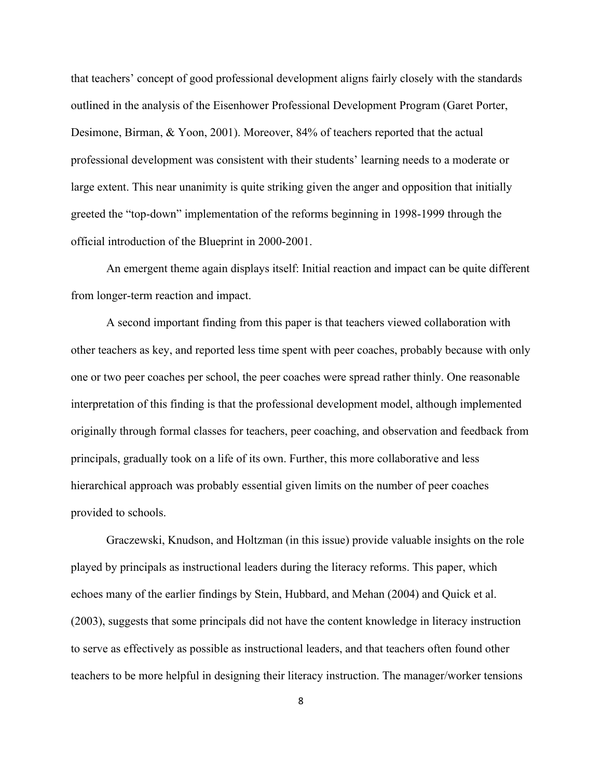that teachers' concept of good professional development aligns fairly closely with the standards outlined in the analysis of the Eisenhower Professional Development Program (Garet Porter, Desimone, Birman, & Yoon, 2001). Moreover, 84% of teachers reported that the actual professional development was consistent with their students' learning needs to a moderate or large extent. This near unanimity is quite striking given the anger and opposition that initially greeted the "top-down" implementation of the reforms beginning in 1998-1999 through the official introduction of the Blueprint in 2000-2001.

An emergent theme again displays itself: Initial reaction and impact can be quite different from longer-term reaction and impact.

A second important finding from this paper is that teachers viewed collaboration with other teachers as key, and reported less time spent with peer coaches, probably because with only one or two peer coaches per school, the peer coaches were spread rather thinly. One reasonable interpretation of this finding is that the professional development model, although implemented originally through formal classes for teachers, peer coaching, and observation and feedback from principals, gradually took on a life of its own. Further, this more collaborative and less hierarchical approach was probably essential given limits on the number of peer coaches provided to schools.

Graczewski, Knudson, and Holtzman (in this issue) provide valuable insights on the role played by principals as instructional leaders during the literacy reforms. This paper, which echoes many of the earlier findings by Stein, Hubbard, and Mehan (2004) and Quick et al. (2003), suggests that some principals did not have the content knowledge in literacy instruction to serve as effectively as possible as instructional leaders, and that teachers often found other teachers to be more helpful in designing their literacy instruction. The manager/worker tensions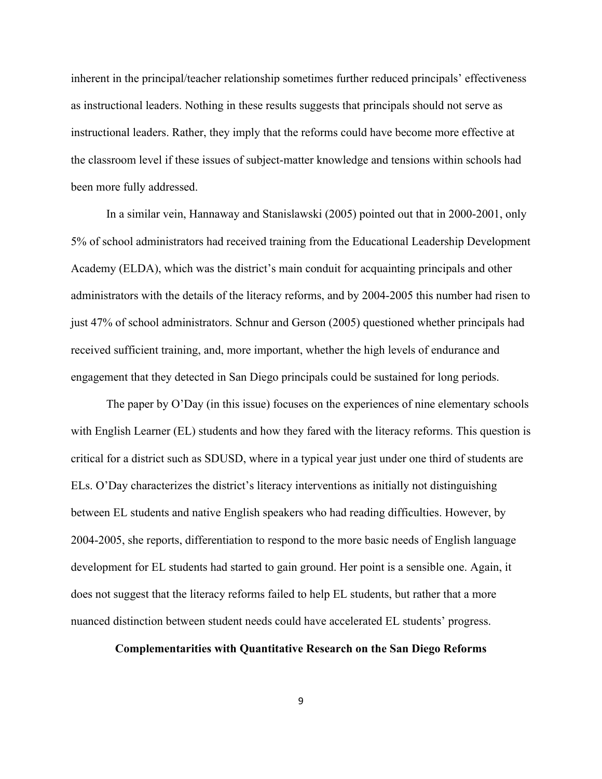inherent in the principal/teacher relationship sometimes further reduced principals' effectiveness as instructional leaders. Nothing in these results suggests that principals should not serve as instructional leaders. Rather, they imply that the reforms could have become more effective at the classroom level if these issues of subject-matter knowledge and tensions within schools had been more fully addressed.

In a similar vein, Hannaway and Stanislawski (2005) pointed out that in 2000-2001, only 5% of school administrators had received training from the Educational Leadership Development Academy (ELDA), which was the district's main conduit for acquainting principals and other administrators with the details of the literacy reforms, and by 2004-2005 this number had risen to just 47% of school administrators. Schnur and Gerson (2005) questioned whether principals had received sufficient training, and, more important, whether the high levels of endurance and engagement that they detected in San Diego principals could be sustained for long periods.

The paper by O'Day (in this issue) focuses on the experiences of nine elementary schools with English Learner (EL) students and how they fared with the literacy reforms. This question is critical for a district such as SDUSD, where in a typical year just under one third of students are ELs. O'Day characterizes the district's literacy interventions as initially not distinguishing between EL students and native English speakers who had reading difficulties. However, by 2004-2005, she reports, differentiation to respond to the more basic needs of English language development for EL students had started to gain ground. Her point is a sensible one. Again, it does not suggest that the literacy reforms failed to help EL students, but rather that a more nuanced distinction between student needs could have accelerated EL students' progress.

## **Complementarities with Quantitative Research on the San Diego Reforms**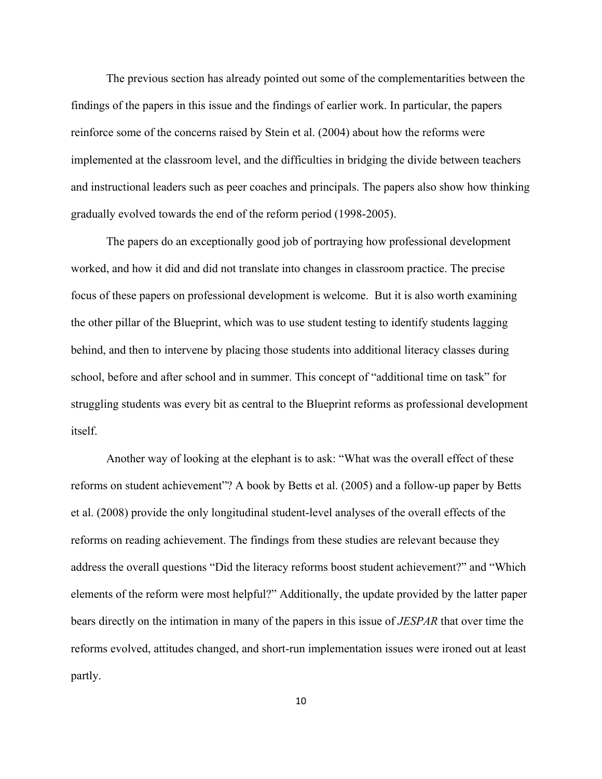The previous section has already pointed out some of the complementarities between the findings of the papers in this issue and the findings of earlier work. In particular, the papers reinforce some of the concerns raised by Stein et al. (2004) about how the reforms were implemented at the classroom level, and the difficulties in bridging the divide between teachers and instructional leaders such as peer coaches and principals. The papers also show how thinking gradually evolved towards the end of the reform period (1998-2005).

The papers do an exceptionally good job of portraying how professional development worked, and how it did and did not translate into changes in classroom practice. The precise focus of these papers on professional development is welcome. But it is also worth examining the other pillar of the Blueprint, which was to use student testing to identify students lagging behind, and then to intervene by placing those students into additional literacy classes during school, before and after school and in summer. This concept of "additional time on task" for struggling students was every bit as central to the Blueprint reforms as professional development itself.

Another way of looking at the elephant is to ask: "What was the overall effect of these reforms on student achievement"? A book by Betts et al. (2005) and a follow-up paper by Betts et al. (2008) provide the only longitudinal student-level analyses of the overall effects of the reforms on reading achievement. The findings from these studies are relevant because they address the overall questions "Did the literacy reforms boost student achievement?" and "Which elements of the reform were most helpful?" Additionally, the update provided by the latter paper bears directly on the intimation in many of the papers in this issue of *JESPAR* that over time the reforms evolved, attitudes changed, and short-run implementation issues were ironed out at least partly.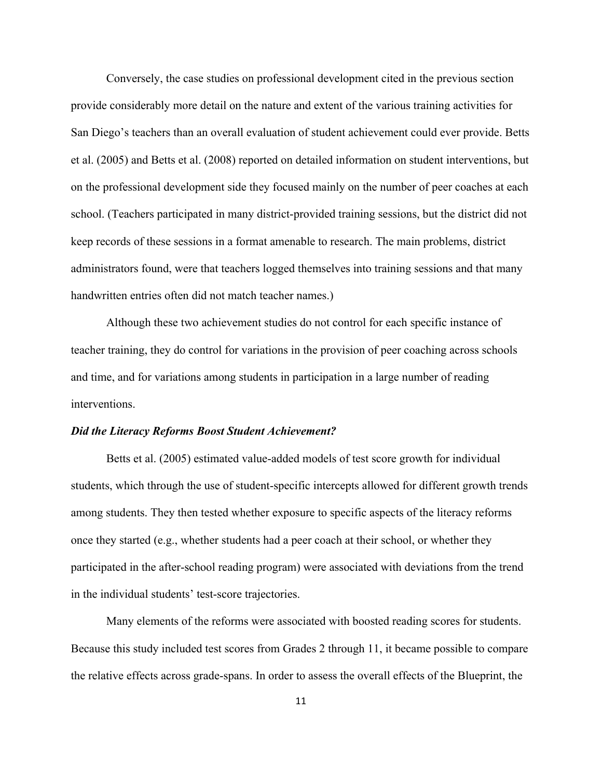Conversely, the case studies on professional development cited in the previous section provide considerably more detail on the nature and extent of the various training activities for San Diego's teachers than an overall evaluation of student achievement could ever provide. Betts et al. (2005) and Betts et al. (2008) reported on detailed information on student interventions, but on the professional development side they focused mainly on the number of peer coaches at each school. (Teachers participated in many district-provided training sessions, but the district did not keep records of these sessions in a format amenable to research. The main problems, district administrators found, were that teachers logged themselves into training sessions and that many handwritten entries often did not match teacher names.)

Although these two achievement studies do not control for each specific instance of teacher training, they do control for variations in the provision of peer coaching across schools and time, and for variations among students in participation in a large number of reading interventions.

#### *Did the Literacy Reforms Boost Student Achievement?*

Betts et al. (2005) estimated value-added models of test score growth for individual students, which through the use of student-specific intercepts allowed for different growth trends among students. They then tested whether exposure to specific aspects of the literacy reforms once they started (e.g., whether students had a peer coach at their school, or whether they participated in the after-school reading program) were associated with deviations from the trend in the individual students' test-score trajectories.

Many elements of the reforms were associated with boosted reading scores for students. Because this study included test scores from Grades 2 through 11, it became possible to compare the relative effects across grade-spans. In order to assess the overall effects of the Blueprint, the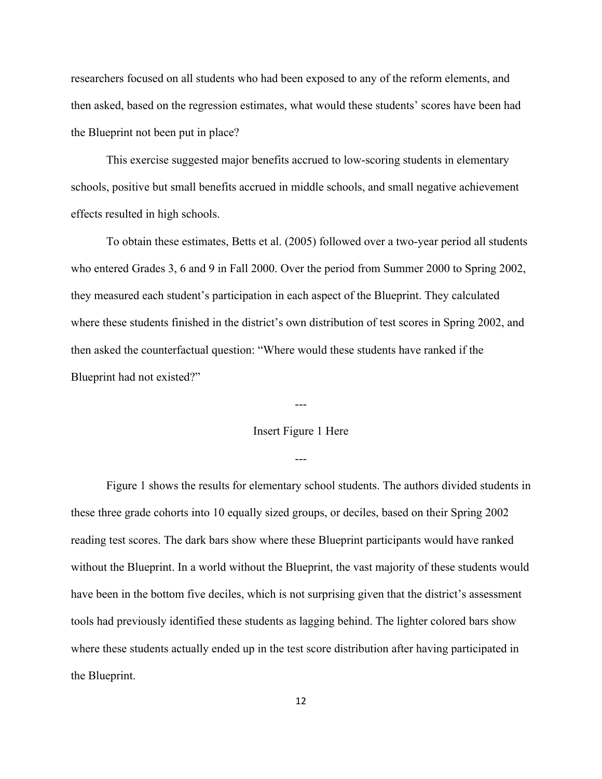researchers focused on all students who had been exposed to any of the reform elements, and then asked, based on the regression estimates, what would these students' scores have been had the Blueprint not been put in place?

This exercise suggested major benefits accrued to low-scoring students in elementary schools, positive but small benefits accrued in middle schools, and small negative achievement effects resulted in high schools.

To obtain these estimates, Betts et al. (2005) followed over a two-year period all students who entered Grades 3, 6 and 9 in Fall 2000. Over the period from Summer 2000 to Spring 2002, they measured each student's participation in each aspect of the Blueprint. They calculated where these students finished in the district's own distribution of test scores in Spring 2002, and then asked the counterfactual question: "Where would these students have ranked if the Blueprint had not existed?"

## Insert Figure 1 Here

---

---

Figure 1 shows the results for elementary school students. The authors divided students in these three grade cohorts into 10 equally sized groups, or deciles, based on their Spring 2002 reading test scores. The dark bars show where these Blueprint participants would have ranked without the Blueprint. In a world without the Blueprint, the vast majority of these students would have been in the bottom five deciles, which is not surprising given that the district's assessment tools had previously identified these students as lagging behind. The lighter colored bars show where these students actually ended up in the test score distribution after having participated in the Blueprint.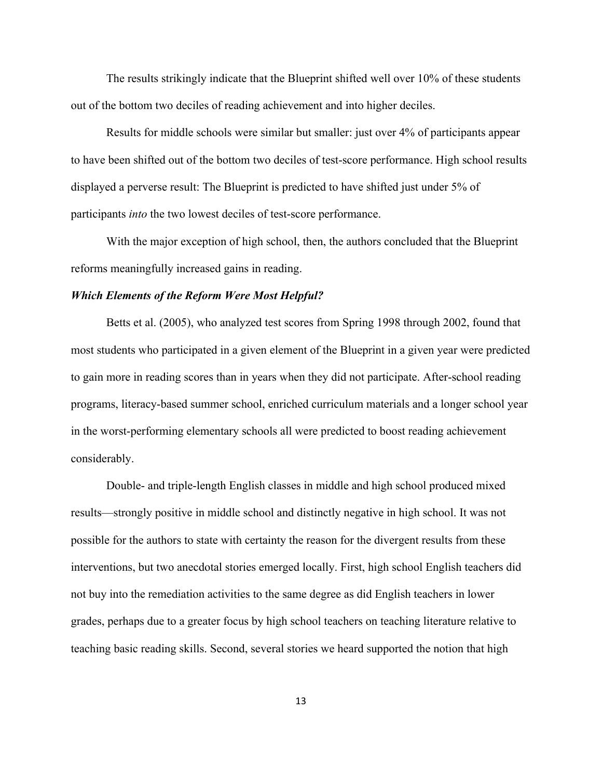The results strikingly indicate that the Blueprint shifted well over 10% of these students out of the bottom two deciles of reading achievement and into higher deciles.

Results for middle schools were similar but smaller: just over 4% of participants appear to have been shifted out of the bottom two deciles of test-score performance. High school results displayed a perverse result: The Blueprint is predicted to have shifted just under 5% of participants *into* the two lowest deciles of test-score performance.

With the major exception of high school, then, the authors concluded that the Blueprint reforms meaningfully increased gains in reading.

### *Which Elements of the Reform Were Most Helpful?*

Betts et al. (2005), who analyzed test scores from Spring 1998 through 2002, found that most students who participated in a given element of the Blueprint in a given year were predicted to gain more in reading scores than in years when they did not participate. After-school reading programs, literacy-based summer school, enriched curriculum materials and a longer school year in the worst-performing elementary schools all were predicted to boost reading achievement considerably.

Double- and triple-length English classes in middle and high school produced mixed results—strongly positive in middle school and distinctly negative in high school. It was not possible for the authors to state with certainty the reason for the divergent results from these interventions, but two anecdotal stories emerged locally. First, high school English teachers did not buy into the remediation activities to the same degree as did English teachers in lower grades, perhaps due to a greater focus by high school teachers on teaching literature relative to teaching basic reading skills. Second, several stories we heard supported the notion that high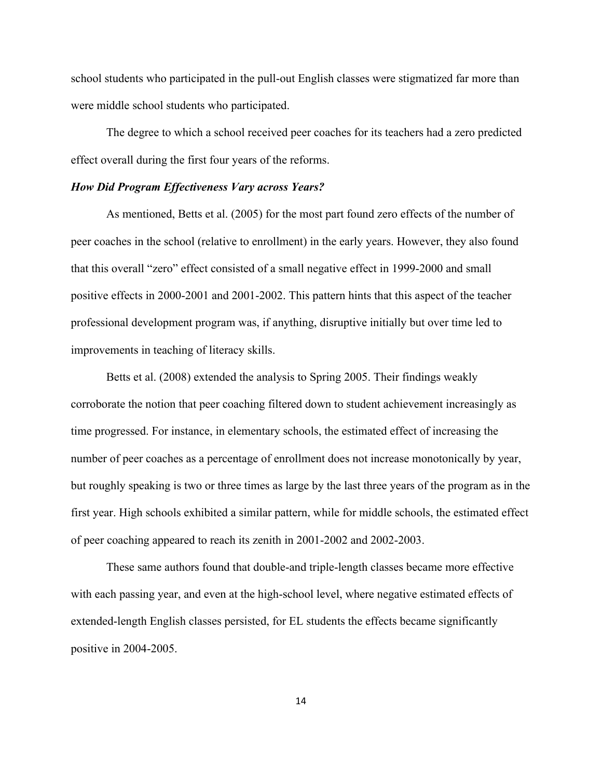school students who participated in the pull-out English classes were stigmatized far more than were middle school students who participated.

The degree to which a school received peer coaches for its teachers had a zero predicted effect overall during the first four years of the reforms.

### *How Did Program Effectiveness Vary across Years?*

As mentioned, Betts et al. (2005) for the most part found zero effects of the number of peer coaches in the school (relative to enrollment) in the early years. However, they also found that this overall "zero" effect consisted of a small negative effect in 1999-2000 and small positive effects in 2000-2001 and 2001-2002. This pattern hints that this aspect of the teacher professional development program was, if anything, disruptive initially but over time led to improvements in teaching of literacy skills.

Betts et al. (2008) extended the analysis to Spring 2005. Their findings weakly corroborate the notion that peer coaching filtered down to student achievement increasingly as time progressed. For instance, in elementary schools, the estimated effect of increasing the number of peer coaches as a percentage of enrollment does not increase monotonically by year, but roughly speaking is two or three times as large by the last three years of the program as in the first year. High schools exhibited a similar pattern, while for middle schools, the estimated effect of peer coaching appeared to reach its zenith in 2001-2002 and 2002-2003.

These same authors found that double-and triple-length classes became more effective with each passing year, and even at the high-school level, where negative estimated effects of extended-length English classes persisted, for EL students the effects became significantly positive in 2004-2005.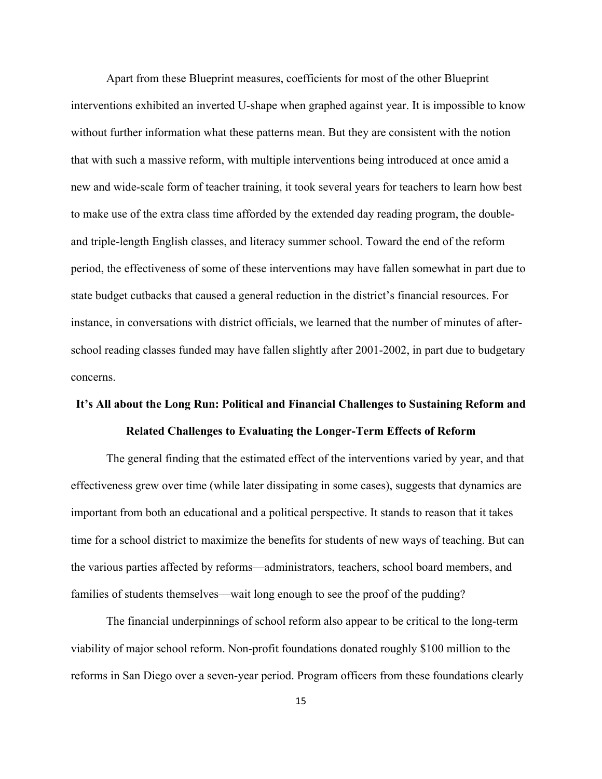Apart from these Blueprint measures, coefficients for most of the other Blueprint interventions exhibited an inverted U-shape when graphed against year. It is impossible to know without further information what these patterns mean. But they are consistent with the notion that with such a massive reform, with multiple interventions being introduced at once amid a new and wide-scale form of teacher training, it took several years for teachers to learn how best to make use of the extra class time afforded by the extended day reading program, the doubleand triple-length English classes, and literacy summer school. Toward the end of the reform period, the effectiveness of some of these interventions may have fallen somewhat in part due to state budget cutbacks that caused a general reduction in the district's financial resources. For instance, in conversations with district officials, we learned that the number of minutes of afterschool reading classes funded may have fallen slightly after 2001-2002, in part due to budgetary concerns.

# **It's All about the Long Run: Political and Financial Challenges to Sustaining Reform and**

## **Related Challenges to Evaluating the Longer-Term Effects of Reform**

The general finding that the estimated effect of the interventions varied by year, and that effectiveness grew over time (while later dissipating in some cases), suggests that dynamics are important from both an educational and a political perspective. It stands to reason that it takes time for a school district to maximize the benefits for students of new ways of teaching. But can the various parties affected by reforms—administrators, teachers, school board members, and families of students themselves—wait long enough to see the proof of the pudding?

The financial underpinnings of school reform also appear to be critical to the long-term viability of major school reform. Non-profit foundations donated roughly \$100 million to the reforms in San Diego over a seven-year period. Program officers from these foundations clearly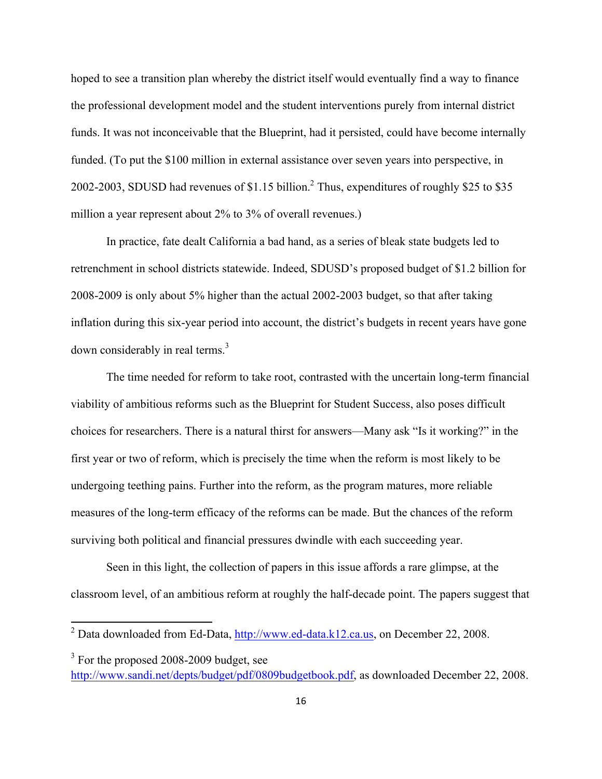hoped to see a transition plan whereby the district itself would eventually find a way to finance the professional development model and the student interventions purely from internal district funds. It was not inconceivable that the Blueprint, had it persisted, could have become internally funded. (To put the \$100 million in external assistance over seven years into perspective, in 2002-2003, SDUSD had revenues of \$1.15 billion.<sup>2</sup> Thus, expenditures of roughly \$25 to \$35 million a year represent about 2% to 3% of overall revenues.)

In practice, fate dealt California a bad hand, as a series of bleak state budgets led to retrenchment in school districts statewide. Indeed, SDUSD's proposed budget of \$1.2 billion for 2008-2009 is only about 5% higher than the actual 2002-2003 budget, so that after taking inflation during this six-year period into account, the district's budgets in recent years have gone down considerably in real terms.<sup>3</sup>

The time needed for reform to take root, contrasted with the uncertain long-term financial viability of ambitious reforms such as the Blueprint for Student Success, also poses difficult choices for researchers. There is a natural thirst for answers—Many ask "Is it working?" in the first year or two of reform, which is precisely the time when the reform is most likely to be undergoing teething pains. Further into the reform, as the program matures, more reliable measures of the long-term efficacy of the reforms can be made. But the chances of the reform surviving both political and financial pressures dwindle with each succeeding year.

Seen in this light, the collection of papers in this issue affords a rare glimpse, at the classroom level, of an ambitious reform at roughly the half-decade point. The papers suggest that

 <sup>2</sup> Data downloaded from Ed-Data, http://www.ed-data.k12.ca.us, on December 22, 2008.

 $3$  For the proposed 2008-2009 budget, see http://www.sandi.net/depts/budget/pdf/0809budgetbook.pdf, as downloaded December 22, 2008.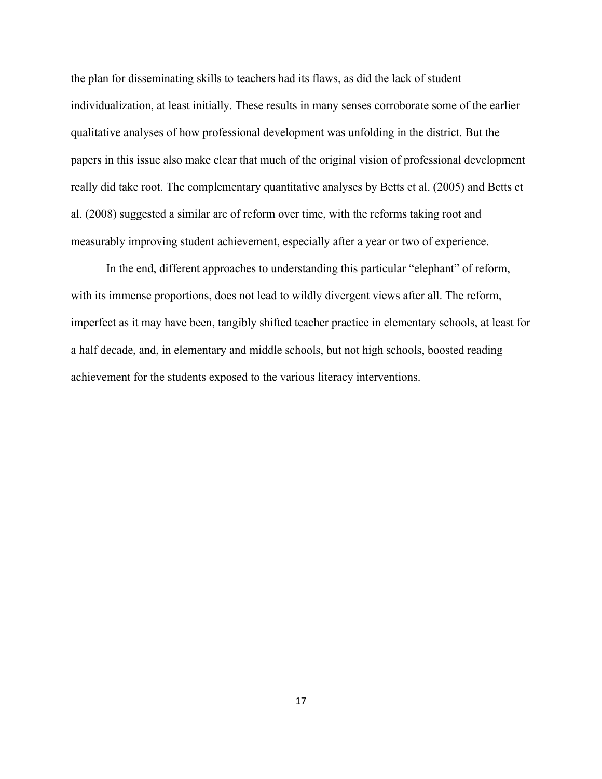the plan for disseminating skills to teachers had its flaws, as did the lack of student individualization, at least initially. These results in many senses corroborate some of the earlier qualitative analyses of how professional development was unfolding in the district. But the papers in this issue also make clear that much of the original vision of professional development really did take root. The complementary quantitative analyses by Betts et al. (2005) and Betts et al. (2008) suggested a similar arc of reform over time, with the reforms taking root and measurably improving student achievement, especially after a year or two of experience.

In the end, different approaches to understanding this particular "elephant" of reform, with its immense proportions, does not lead to wildly divergent views after all. The reform, imperfect as it may have been, tangibly shifted teacher practice in elementary schools, at least for a half decade, and, in elementary and middle schools, but not high schools, boosted reading achievement for the students exposed to the various literacy interventions.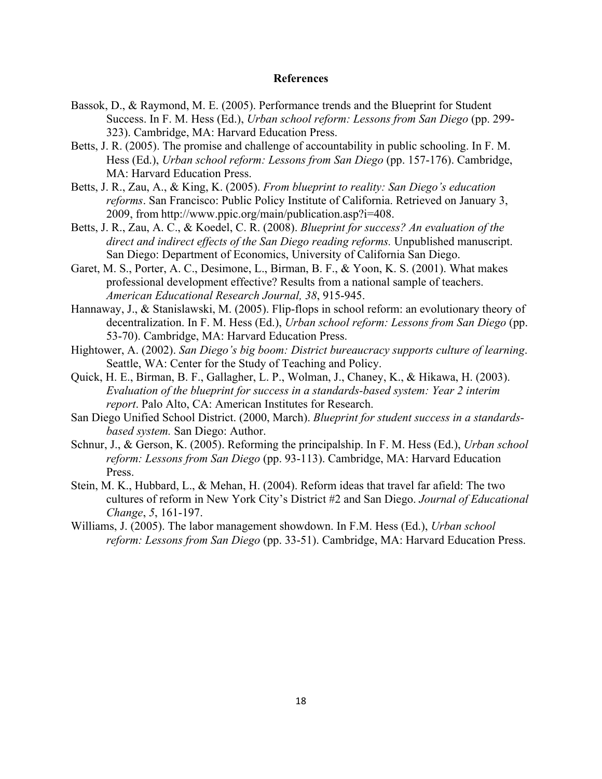## **References**

- Bassok, D., & Raymond, M. E. (2005). Performance trends and the Blueprint for Student Success. In F. M. Hess (Ed.), *Urban school reform: Lessons from San Diego* (pp. 299- 323). Cambridge, MA: Harvard Education Press.
- Betts, J. R. (2005). The promise and challenge of accountability in public schooling. In F. M. Hess (Ed.), *Urban school reform: Lessons from San Diego* (pp. 157-176). Cambridge, MA: Harvard Education Press.
- Betts, J. R., Zau, A., & King, K. (2005). *From blueprint to reality: San Diego's education reforms*. San Francisco: Public Policy Institute of California. Retrieved on January 3, 2009, from http://www.ppic.org/main/publication.asp?i=408.
- Betts, J. R., Zau, A. C., & Koedel, C. R. (2008). *Blueprint for success? An evaluation of the direct and indirect effects of the San Diego reading reforms.* Unpublished manuscript. San Diego: Department of Economics, University of California San Diego.
- Garet, M. S., Porter, A. C., Desimone, L., Birman, B. F., & Yoon, K. S. (2001). What makes professional development effective? Results from a national sample of teachers. *American Educational Research Journal, 38*, 915-945.
- Hannaway, J., & Stanislawski, M. (2005). Flip-flops in school reform: an evolutionary theory of decentralization. In F. M. Hess (Ed.), *Urban school reform: Lessons from San Diego* (pp. 53-70). Cambridge, MA: Harvard Education Press.
- Hightower, A. (2002). *San Diego's big boom: District bureaucracy supports culture of learning*. Seattle, WA: Center for the Study of Teaching and Policy.
- Quick, H. E., Birman, B. F., Gallagher, L. P., Wolman, J., Chaney, K., & Hikawa, H. (2003). *Evaluation of the blueprint for success in a standards-based system: Year 2 interim report*. Palo Alto, CA: American Institutes for Research.
- San Diego Unified School District. (2000, March). *Blueprint for student success in a standardsbased system.* San Diego: Author.
- Schnur, J., & Gerson, K. (2005). Reforming the principalship. In F. M. Hess (Ed.), *Urban school reform: Lessons from San Diego* (pp. 93-113). Cambridge, MA: Harvard Education Press.
- Stein, M. K., Hubbard, L., & Mehan, H. (2004). Reform ideas that travel far afield: The two cultures of reform in New York City's District #2 and San Diego. *Journal of Educational Change*, *5*, 161-197.
- Williams, J. (2005). The labor management showdown. In F.M. Hess (Ed.), *Urban school reform: Lessons from San Diego* (pp. 33-51). Cambridge, MA: Harvard Education Press.